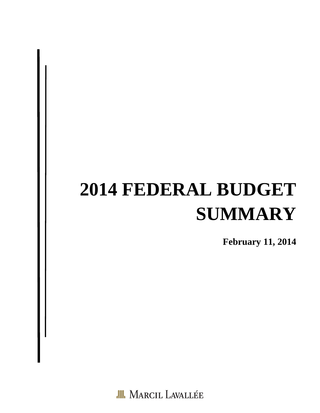# **2014 FEDERAL BUDGET SUMMARY**

**February 11, 2014** 

**III.** MARCIL LAVALLÉE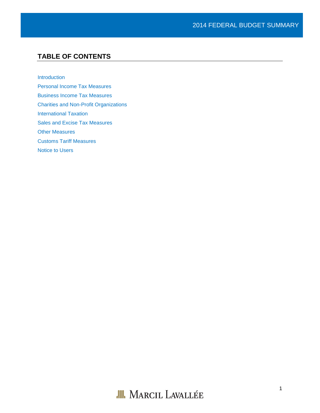# **TABLE OF CONTENTS**

[Introduction](#page-2-0)

[Personal Income Tax Measures](#page-3-0)

[Business Income Tax Measures](#page-5-0)

[Charities and Non-Profit Organizations](#page-6-0)

[International Taxation](#page-6-1)

[Sales and Excise Tax Measures](#page-7-0)

[Other Measures](#page-8-0)

[Customs Tariff Measures](#page-9-0)

Notice to Users

# **III.** MARCIL LAVALLÉE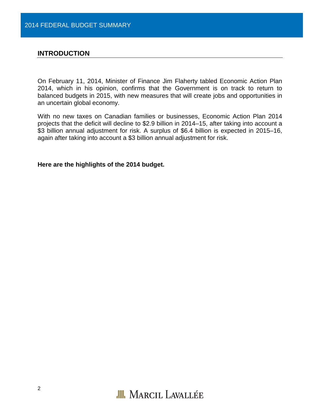## <span id="page-2-0"></span>**INTRODUCTION**

On February 11, 2014, Minister of Finance Jim Flaherty tabled Economic Action Plan 2014, which in his opinion, confirms that the Government is on track to return to balanced budgets in 2015, with new measures that will create jobs and opportunities in an uncertain global economy.

With no new taxes on Canadian families or businesses, Economic Action Plan 2014 projects that the deficit will decline to \$2.9 billion in 2014–15, after taking into account a \$3 billion annual adjustment for risk. A surplus of \$6.4 billion is expected in 2015–16, again after taking into account a \$3 billion annual adjustment for risk.

**Here are the highlights of the 2014 budget.**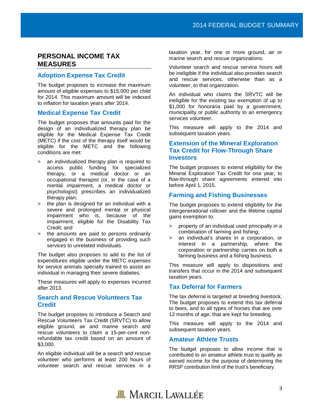# <span id="page-3-0"></span>**PERSONAL INCOME TAX MEASURES**

# **Adoption Expense Tax Credit**

The budget proposes to increase the maximum amount of eligible expenses to \$15,000 per child for 2014. This maximum amount will be indexed to inflation for taxation years after 2014.

# **Medical Expense Tax Credit**

The budget proposes that amounts paid for the design of an individualized therapy plan be eligible for the Medical Expense Tax Credit (METC) if the cost of the therapy itself would be eligible for the METC and the following conditions are met:

- > an individualized therapy plan is required to access public funding for specialized therapy, or a medical doctor or an occupational therapist (or, in the case of a mental impairment, a medical doctor or psychologist) prescribes an individualized therapy plan;
- > the plan is designed for an individual with a severe and prolonged mental or physical impairment who is, because of the impairment, eligible for the Disability Tax Credit; and
- > the amounts are paid to persons ordinarily engaged in the business of providing such services to unrelated individuals.

The budget also proposes to add to the list of expenditures eligible under the METC expenses for service animals specially trained to assist an individual in managing their severe diabetes.

These measures will apply to expenses incurred after 2013.

# **Search and Rescue Volunteers Tax Credit**

The budget proposes to introduce a Search and Rescue Volunteers Tax Credit (SRVTC) to allow eligible ground, air and marine search and rescue volunteers to claim a 15-per-cent nonrefundable tax credit based on an amount of \$3,000.

An eligible individual will be a search and rescue volunteer who performs at least 200 hours of volunteer search and rescue services in a taxation year, for one or more ground, air or marine search and rescue organizations.

Volunteer search and rescue service hours will be ineligible if the individual also provides search and rescue services, otherwise than as a volunteer, to that organization.

An individual who claims the SRVTC will be ineligible for the existing tax exemption of up to \$1,000 for honoraria paid by a government, municipality or public authority to an emergency services volunteer.

This measure will apply to the 2014 and subsequent taxation years.

# **Extension of the Mineral Exploration Tax Credit for Flow-Through Share Investors**

The budget proposes to extend eligibility for the Mineral Exploration Tax Credit for one year, to flow-through share agreements entered into before April 1, 2015.

# **Farming and Fishing Businesses**

The budget proposes to extend eligibility for the intergenerational rollover and the lifetime capital gains exemption to:

- property of an individual used principally in a combination of farming and fishing;
- > an individual's shares in a corporation, or interest in a partnership, where the corporation or partnership carries on both a farming business and a fishing business.

This measure will apply to dispositions and transfers that occur in the 2014 and subsequent taxation years.

# **Tax Deferral for Farmers**

The tax deferral is targeted at breeding livestock. The budget proposes to extend this tax deferral to bees, and to all types of horses that are over 12 months of age, that are kept for breeding.

This measure will apply to the 2014 and subsequent taxation years.

# **Amateur Athlete Trusts**

The budget proposes to allow income that is contributed to an amateur athlete trust to qualify as earned income for the purpose of determining the RRSP contribution limit of the trust's beneficiary.

# **JII.** MARCIL LAVALLÉE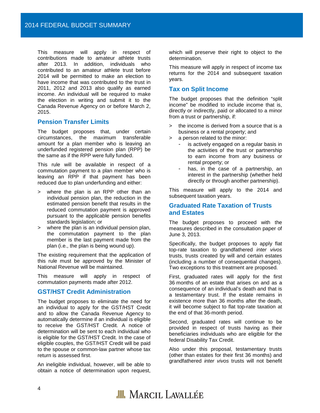This measure will apply in respect of contributions made to amateur athlete trusts after 2013. In addition, individuals who contributed to an amateur athlete trust before 2014 will be permitted to make an election to have income that was contributed to the trust in 2011, 2012 and 2013 also qualify as earned income. An individual will be required to make the election in writing and submit it to the Canada Revenue Agency on or before March 2, 2015.

#### **Pension Transfer Limits**

The budget proposes that, under certain circumstances, the maximum transferable amount for a plan member who is leaving an underfunded registered pension plan (RPP) be the same as if the RPP were fully funded.

This rule will be available in respect of a commutation payment to a plan member who is leaving an RPP if that payment has been reduced due to plan underfunding and either:

- where the plan is an RPP other than an individual pension plan, the reduction in the estimated pension benefit that results in the reduced commutation payment is approved pursuant to the applicable pension benefits standards legislation; or
- > where the plan is an individual pension plan, the commutation payment to the plan member is the last payment made from the plan (i.e., the plan is being wound up).

The existing requirement that the application of this rule must be approved by the Minister of National Revenue will be maintained.

This measure will apply in respect of commutation payments made after 2012.

#### **GST/HST Credit Administration**

The budget proposes to eliminate the need for an individual to apply for the GST/HST Credit and to allow the Canada Revenue Agency to automatically determine if an individual is eligible to receive the GST/HST Credit. A notice of determination will be sent to each individual who is eligible for the GST/HST Credit. In the case of eligible couples, the GST/HST Credit will be paid to the spouse or common-law partner whose tax return is assessed first.

An ineligible individual, however, will be able to obtain a notice of determination upon request,

which will preserve their right to object to the determination.

This measure will apply in respect of income tax returns for the 2014 and subsequent taxation years.

#### **Tax on Split Income**

The budget proposes that the definition "split income" be modified to include income that is, directly or indirectly, paid or allocated to a minor from a trust or partnership, if:

- > the income is derived from a source that is a business or a rental property; and
- > a person related to the minor:
	- is actively engaged on a regular basis in the activities of the trust or partnership to earn income from any business or rental property; or
	- has, in the case of a partnership, an interest in the partnership (whether held directly or through another partnership).

This measure will apply to the 2014 and subsequent taxation years.

#### **Graduated Rate Taxation of Trusts and Estates**

The budget proposes to proceed with the measures described in the consultation paper of June 3, 2013.

Specifically, the budget proposes to apply flat top-rate taxation to grandfathered *inter vivos* trusts, trusts created by will and certain estates (including a number of consequential changes). Two exceptions to this treatment are proposed.

First, graduated rates will apply for the first 36 months of an estate that arises on and as a consequence of an individual's death and that is a testamentary trust. If the estate remains in existence more than 36 months after the death, it will become subject to flat top-rate taxation at the end of that 36-month period.

Second, graduated rates will continue to be provided in respect of trusts having as their beneficiaries individuals who are eligible for the federal Disability Tax Credit.

Also under this proposal, testamentary trusts (other than estates for their first 36 months) and grandfathered *inter vivos* trusts will not benefit

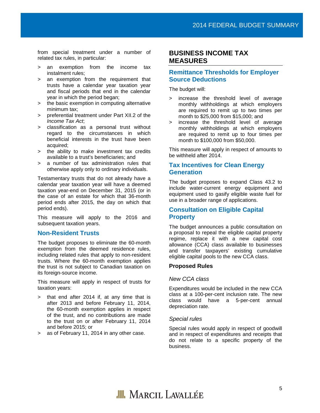from special treatment under a number of related tax rules, in particular:

- > an exemption from the income tax instalment rules;
- > an exemption from the requirement that trusts have a calendar year taxation year and fiscal periods that end in the calendar year in which the period began;
- > the basic exemption in computing alternative minimum tax;
- > preferential treatment under Part XII.2 of the *Income Tax Act*;
- > classification as a personal trust without regard to the circumstances in which beneficial interests in the trust have been acquired;
- > the ability to make investment tax credits available to a trust's beneficiaries; and
- > a number of tax administration rules that otherwise apply only to ordinary individuals.

Testamentary trusts that do not already have a calendar year taxation year will have a deemed taxation year-end on December 31, 2015 (or in the case of an estate for which that 36-month period ends after 2015, the day on which that period ends).

This measure will apply to the 2016 and subsequent taxation years.

#### **Non-Resident Trusts**

The budget proposes to eliminate the 60-month exemption from the deemed residence rules, including related rules that apply to non-resident trusts. Where the 60-month exemption applies the trust is not subject to Canadian taxation on its foreign-source income.

This measure will apply in respect of trusts for taxation years:

- > that end after 2014 if, at any time that is after 2013 and before February 11, 2014, the 60-month exemption applies in respect of the trust, and no contributions are made to the trust on or after February 11, 2014 and before 2015; or
- > as of February 11, 2014 in any other case.

# <span id="page-5-0"></span>**BUSINESS INCOME TAX MEASURES**

## **Remittance Thresholds for Employer Source Deductions**

The budget will:

- > increase the threshold level of average monthly withholdings at which employers are required to remit up to two times per month to \$25,000 from \$15,000; and
- > increase the threshold level of average monthly withholdings at which employers are required to remit up to four times per month to \$100,000 from \$50,000.

This measure will apply in respect of amounts to be withheld after 2014.

#### **Tax Incentives for Clean Energy Generation**

The budget proposes to expand Class 43.2 to include water-current energy equipment and equipment used to gasify eligible waste fuel for use in a broader range of applications.

# **Consultation on Eligible Capital Property**

The budget announces a public consultation on a proposal to repeal the eligible capital property regime, replace it with a new capital cost allowance (CCA) class available to businesses and transfer taxpayers' existing cumulative eligible capital pools to the new CCA class.

#### **Proposed Rules**

#### *New CCA class*

Expenditures would be included in the new CCA class at a 100-per-cent inclusion rate. The new class would have a 5-per-cent annual depreciation rate.

#### *Special rules*

Special rules would apply in respect of goodwill and in respect of expenditures and receipts that do not relate to a specific property of the business.

# **JII.** MARCIL LAVALLÉE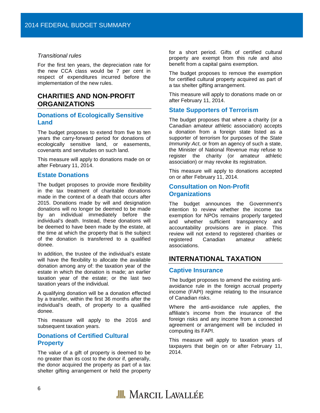#### *Transitional rules*

For the first ten years, the depreciation rate for the new CCA class would be 7 per cent in respect of expenditures incurred before the implementation of the new rules.

# <span id="page-6-0"></span>**CHARITIES AND NON-PROFIT ORGANIZATIONS**

## **Donations of Ecologically Sensitive Land**

The budget proposes to extend from five to ten years the carry-forward period for donations of ecologically sensitive land, or easements, covenants and servitudes on such land.

This measure will apply to donations made on or after February 11, 2014.

#### **Estate Donations**

The budget proposes to provide more flexibility in the tax treatment of charitable donations made in the context of a death that occurs after 2015. Donations made by will and designation donations will no longer be deemed to be made by an individual immediately before the individual's death. Instead, these donations will be deemed to have been made by the estate, at the time at which the property that is the subject of the donation is transferred to a qualified donee.

In addition, the trustee of the individual's estate will have the flexibility to allocate the available donation among any of: the taxation year of the estate in which the donation is made; an earlier taxation year of the estate; or the last two taxation years of the individual.

A qualifying donation will be a donation effected by a transfer, within the first 36 months after the individual's death, of property to a qualified donee.

This measure will apply to the 2016 and subsequent taxation years.

#### **Donations of Certified Cultural Property**

The value of a gift of property is deemed to be no greater than its cost to the donor if, generally, the donor acquired the property as part of a tax shelter gifting arrangement or held the property

for a short period. Gifts of certified cultural property are exempt from this rule and also benefit from a capital gains exemption.

The budget proposes to remove the exemption for certified cultural property acquired as part of a tax shelter gifting arrangement.

This measure will apply to donations made on or after February 11, 2014.

#### **State Supporters of Terrorism**

The budget proposes that where a charity (or a Canadian amateur athletic association) accepts a donation from a foreign state listed as a supporter of terrorism for purposes of the *State Immunity Act*, or from an agency of such a state, the Minister of National Revenue may refuse to register the charity (or amateur athletic association) or may revoke its registration*.*

This measure will apply to donations accepted on or after February 11, 2014.

#### **Consultation on Non-Profit Organizations**

The budget announces the Government's intention to review whether the income tax exemption for NPOs remains properly targeted and whether sufficient transparency and accountability provisions are in place. This review will not extend to registered charities or registered Canadian amateur athletic associations.

# <span id="page-6-1"></span>**INTERNATIONAL TAXATION**

#### **Captive Insurance**

The budget proposes to amend the existing antiavoidance rule in the foreign accrual property income (FAPI) regime relating to the insurance of Canadian risks.

Where the anti-avoidance rule applies, the affiliate's income from the insurance of the foreign risks and any income from a connected agreement or arrangement will be included in computing its FAPI.

This measure will apply to taxation years of taxpayers that begin on or after February 11, 2014.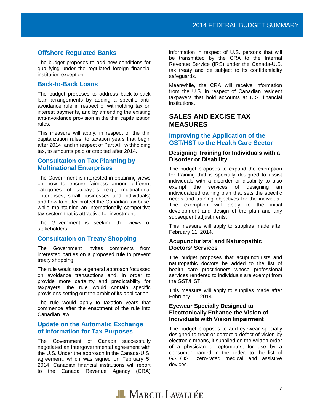#### **Offshore Regulated Banks**

The budget proposes to add new conditions for qualifying under the regulated foreign financial institution exception.

#### **Back-to-Back Loans**

The budget proposes to address back-to-back loan arrangements by adding a specific antiavoidance rule in respect of withholding tax on interest payments, and by amending the existing anti-avoidance provision in the thin capitalization rules.

This measure will apply, in respect of the thin capitalization rules, to taxation years that begin after 2014, and in respect of Part XIII withholding tax, to amounts paid or credited after 2014.

#### **Consultation on Tax Planning by Multinational Enterprises**

The Government is interested in obtaining views on how to ensure fairness among different categories of taxpayers (e.g., multinational enterprises, small businesses and individuals) and how to better protect the Canadian tax base, while maintaining an internationally competitive tax system that is attractive for investment.

The Government is seeking the views of stakeholders.

#### **Consultation on Treaty Shopping**

The Government invites comments from interested parties on a proposed rule to prevent treaty shopping.

The rule would use a general approach focussed on avoidance transactions and, in order to provide more certainty and predictability for taxpayers, the rule would contain specific provisions setting out the ambit of its application.

The rule would apply to taxation years that commence after the enactment of the rule into Canadian law.

# **Update on the Automatic Exchange of Information for Tax Purposes**

The Government of Canada successfully negotiated an intergovernmental agreement with the U.S. Under the approach in the Canada-U.S. agreement, which was signed on February 5, 2014, Canadian financial institutions will report to the Canada Revenue Agency (CRA)

information in respect of U.S. persons that will be transmitted by the CRA to the Internal Revenue Service (IRS) under the Canada-U.S. tax treaty and be subject to its confidentiality safeguards.

Meanwhile, the CRA will receive information from the U.S. in respect of Canadian resident taxpayers that hold accounts at U.S. financial institutions.

# <span id="page-7-0"></span>**SALES AND EXCISE TAX MEASURES**

# **Improving the Application of the GST/HST to the Health Care Sector**

#### **Designing Training for Individuals with a Disorder or Disability**

The budget proposes to expand the exemption for training that is specially designed to assist individuals with a disorder or disability to also exempt the services of designing an individualized training plan that sets the specific needs and training objectives for the individual. The exemption will apply to the initial development and design of the plan and any subsequent adjustments.

This measure will apply to supplies made after February 11, 2014.

#### **Acupuncturists' and Naturopathic Doctors' Services**

The budget proposes that acupuncturists and naturopathic doctors be added to the list of health care practitioners whose professional services rendered to individuals are exempt from the GST/HST.

This measure will apply to supplies made after February 11, 2014.

#### **Eyewear Specially Designed to Electronically Enhance the Vision of Individuals with Vision Impairment**

The budget proposes to add eyewear specially designed to treat or correct a defect of vision by electronic means, if supplied on the written order of a physician or optometrist for use by a consumer named in the order, to the list of GST/HST zero-rated medical and assistive devices.

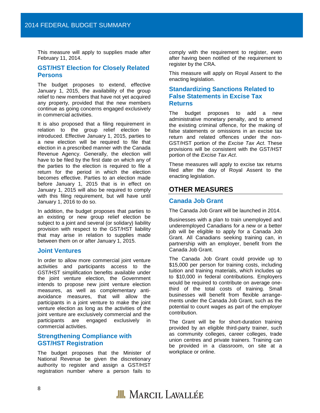This measure will apply to supplies made after February 11, 2014.

#### **GST/HST Election for Closely Related Persons**

The budget proposes to extend, effective January 1, 2015, the availability of the group relief to new members that have not yet acquired any property, provided that the new members continue as going concerns engaged exclusively in commercial activities.

It is also proposed that a filing requirement in relation to the group relief election be introduced. Effective January 1, 2015, parties to a new election will be required to file that election in a prescribed manner with the Canada Revenue Agency. Generally, the election will have to be filed by the first date on which any of the parties to the election is required to file a return for the period in which the election becomes effective. Parties to an election made before January 1, 2015 that is in effect on January 1, 2015 will also be required to comply with this filing requirement, but will have until January 1, 2016 to do so.

In addition, the budget proposes that parties to an existing or new group relief election be subject to a joint and several (or solidary) liability provision with respect to the GST/HST liability that may arise in relation to supplies made between them on or after January 1, 2015.

#### **Joint Ventures**

In order to allow more commercial joint venture activities and participants access to the GST/HST simplification benefits available under the joint venture election, the Government intends to propose new joint venture election measures, as well as complementary antiavoidance measures, that will allow the participants in a joint venture to make the joint venture election as long as the activities of the joint venture are exclusively commercial and the participants are engaged exclusively in commercial activities.

#### **Strengthening Compliance with GST/HST Registration**

The budget proposes that the Minister of National Revenue be given the discretionary authority to register and assign a GST/HST registration number where a person fails to

comply with the requirement to register, even after having been notified of the requirement to register by the CRA.

This measure will apply on Royal Assent to the enacting legislation.

# **Standardizing Sanctions Related to False Statements in Excise Tax Returns**

The budget proposes to add a new administrative monetary penalty, and to amend the existing criminal offence, for the making of false statements or omissions in an excise tax return and related offences under the non-GST/HST portion of the *Excise Tax Act*. These provisions will be consistent with the GST/HST portion of the *Excise Tax Act*.

These measures will apply to excise tax returns filed after the day of Royal Assent to the enacting legislation.

# <span id="page-8-0"></span>**OTHER MEASURES**

#### **Canada Job Grant**

The Canada Job Grant will be launched in 2014.

Businesses with a plan to train unemployed and underemployed Canadians for a new or a better job will be eligible to apply for a Canada Job Grant. All Canadians seeking training can, in partnership with an employer, benefit from the Canada Job Grant.

The Canada Job Grant could provide up to \$15,000 per person for training costs, including tuition and training materials, which includes up to \$10,000 in federal contributions. Employers would be required to contribute on average onethird of the total costs of training. Small businesses will benefit from flexible arrangements under the Canada Job Grant, such as the potential to count wages as part of the employer contribution.

The Grant will be for short-duration training provided by an eligible third-party trainer, such as community colleges, career colleges, trade union centres and private trainers. Training can be provided in a classroom, on site at a workplace or online.